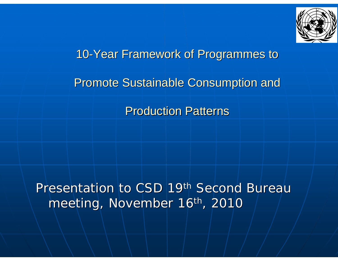

### 10-Year Framework of Programmes to

#### **Promote Sustainable Consumption and**

#### **Production Patterns**

### Presentation to CSD 19<sup>th</sup> Second Bureau meeting, November 16<sup>th</sup>, 2010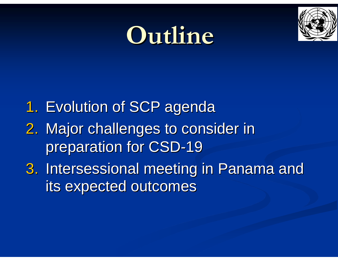## **Outline Outline**



- 1. Evolution of SCP agenda
- 2. Major challenges to consider in preparation for CSD-19
- 3. Intersessional meeting in Panama and its expected outcomes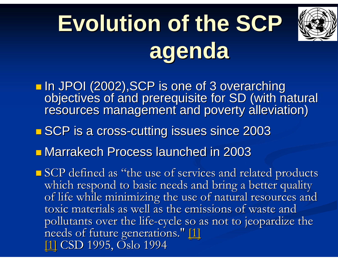# <span id="page-2-0"></span>**Evolution of the SCP agenda**



In JPOI (2002), SCP is one of 3 overarching objectives of and prerequisite for SD (with natural<br>resources management and poverty alleviation)

- **BISCP** is a cross-cutting issues since 2003
- **E** Marrakech Process launched in 2003
- **SCP** defined as "the use of services and related products which respond to basic needs and bring a better quality of life while minimizing the use of natural resources and toxic materials as well as the emissions of waste and pollutants over the life-cycle [so a](#page-2-0)snot to jeopardize the<br>needs of future generations." [\[1\]](#page-2-0) [\[1\]](#page-2-0) CSD 1995, Oslo 1994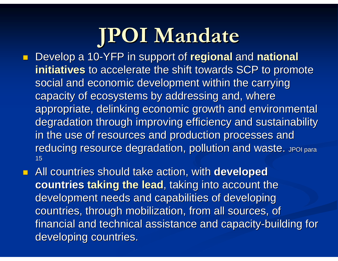## **JPOI Mandate JPOI Mandate**

- **Develop a 10-YFP in support of regional and national initiatives** to accelerate the shift towards SCP to promote social and economic development within the carrying capacity of ecosystems by addressing and, where appropriate, delinking economic growth and environmental degradation through improving efficiency and sustainability in the use of resources and production processes and reducing resource degradation, pollution and waste. JPOI para 15
- **All countries should take action, with developed countries taking the lead**, taking into account the development needs and capabilities of developing countries, through mobilization, from all sources, of financial and technical assistance and capacity-building for developing countries.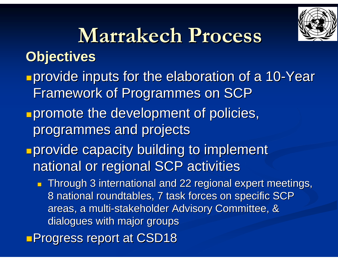

### **Marrakech Process Marrakech ProcessObjectives Objectives**

- **provide inputs for the elaboration of a 10-Year** Framework of Programmes on SCP
- **promote the development of policies,** programmes and projects programmes and projects
- **<u><b>Provide capacity building to implement**</u></u> national or regional SCP activities
	- $\blacksquare$  Through 3 international and 22 regional expert meetings, 8 national roundtables, 7 task forces on specific SCP areas, a multi-stakeholder Advisory Committee, & dialogues with major groups
- **Progress report at CSD18**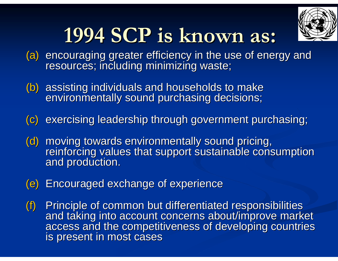

## **1994 SCP is 1994 SCP is known as: known as:**

- (a) encouraging greater efficiency in the use of energy and resources; including minimizing waste;
- (b) assisting individuals and households to make<br>environmentally sound purchasing decisions;
- (c) exercising leadership through government purchasing;
- (d) moving towards environmentally sound pricing,<br>reinforcing values that support sustainable consumption<br>and production.
- (e) Encouraged exchange of experience
- (f) Principle of common but differentiated responsibilities<br>and taking into account concerns about/improve market<br>access and the competitiveness of developing countries<br>is present in most cases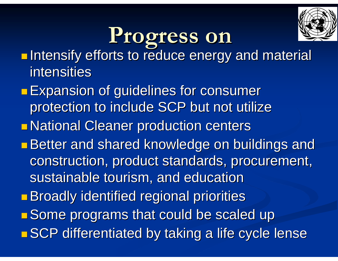

## **Progress on Progress on**

- k. **Intensify efforts to reduce energy and material Intensify efforts to reduce energy and material** intensities
- p. **Expansion of guidelines for consumer** protection to include SCP but not utilize p. **national Cleaner production centers** p. **Better and shared knowledge on buildings and shared shared shared shared shared shared shared shared and shared shared shared shared shared shared shared shared shared shared shared shared shared shared shared shared shar** construction, product standards, procurement, sustainable tourism, and education p. **Broadly identified regional priorities** e<br>Ma **Some programs that could be scaled up** p. **n SCP differentiated by taking a life cycle lense**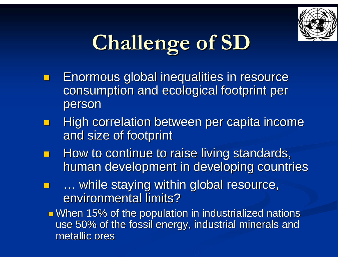

## **Challenge of SD Challenge of SD**

- Enormous global inequalities in resource Enormous global inequalities in resource consumption and ecological footprint per consumption and ecological footprint per person
- High correlation between per capita income and size of footprint
- How to continue to raise living standards, human development in developing countries
- **E** ... while staying within global resource, environmental limits?

 $\blacksquare$  When 15% of the population in industrialized nations use 50% of the fossil energy, industrial minerals and metallic ores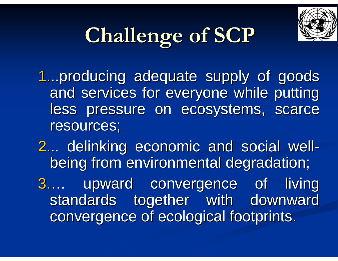

## **Challenge of SCP Challenge of SCP**

1...producing adequate supply of goods and services for everyone while putting less pressure on ecosystems, scarce resources;

2... delinking economic and social wellbeing from environmental degradation;

3.... upward convergence of living standards together with downward convergence of ecological footprints.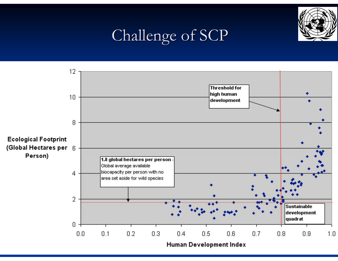

### Challenge of SCP



Human Development Index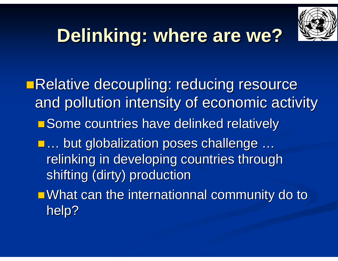

## **Delinking: where are we?**

**ERelative decoupling: reducing resource** and pollution intensity of economic activity **Some countries have delinked relatively** ■ ... but globalization poses challenge … relinking in developing countries through shifting (dirty) production  $\blacksquare$  What can the internationnal community do to help?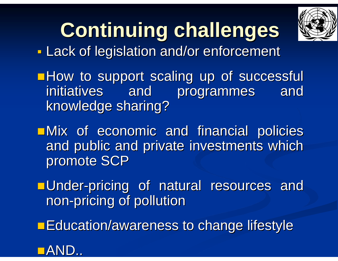

## **Continuing challenges Continuing challenges**

**Service Service - Lack of legislation and/or enforcement** 

**How to support scaling up of successful** initiatives and programmes and initiatives and programmes and knowledge sharing?

 $\blacksquare$ Mix of economic and financial policies and public and private investments which promote SCP

Under -pricing of natural resources and pricing of natural resources and non -pricing of pollution pricing of pollution

**Education/awareness to change lifestyle** 

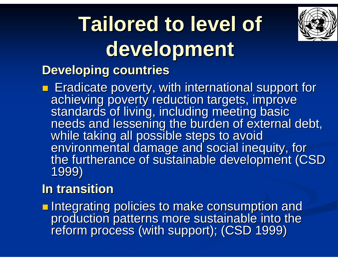## **Tailored to level of development development**



### **Developing countries Developing countries**

**Exadicate poverty, with international support for** achieving poverty reduction targets, improve<br>standards of living, including meeting basic<br>needs and lessening the burden of external debt,<br>while taking all possible steps to avoid<br>environmental damage and social inequity,

### **In transition In transition**

Integrating policies to make consumption and production patterns more sustainable into the<br>reform process (with support); (CSD 1999)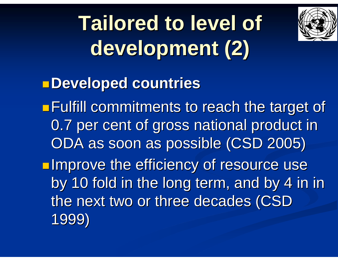## **Tailored to level of development (2) development (2)**



**Developed countries Developed countries**

**Fulfill commitments to reach the target of** 0.7 per cent of gross national product in ODA as soon as possible (CSD 2005) **Improve the efficiency of resource use** by 10 fold in the long term, and by 4 in in

the next two or three decades (CSD 1999)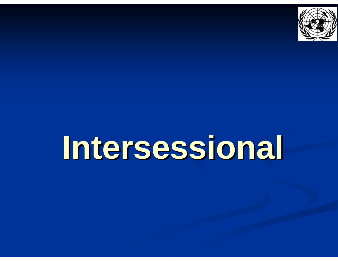

# **Intersessional Intersessional**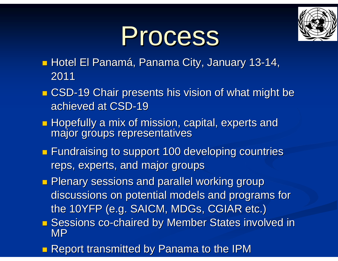

# Process Process

- **Hotel El Panamá, Panama City, January 13-14,** 2011
- **CSD-19 Chair presents his vision of what might be** achieved at CSD-19
- Hopefully a mix of mission, capital, experts and major groups representatives
- **Fundraising to support 100 developing countries** reps, experts, and major groups
- **Plenary sessions and parallel working group** discussions on potential models and programs for the 10YFP (e.g. SAICM, MDGs, CGIAR etc.)
- Sessions co-chaired by Member States involved in MP
- **Report transmitted by Panama to the IPM**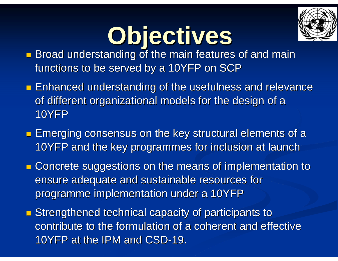

# **Objectives Objectives**

- **Broad understanding of the main features of and main** functions to be served by a 10YFP on SCP
- **Enhanced understanding of the usefulness and relevance Lines** of different organizational models for the design of a 10YFP
- **Examber 20 Emerging consensus on the key structural elements of a** 10YFP and the key programmes for inclusion at launch
- **E** Concrete suggestions on the means of implementation to ensure adequate and sustainable resources for programme implementation under a 10YFP
- **Extremathened technical capacity of participants to** contribute to the formulation of a coherent and effective 10YFP at the IPM and CSD-19.  $\,$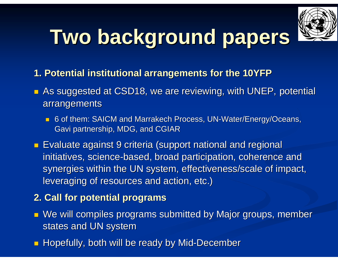

## **Two background papers Two background papers**

- **1. Potential institutional arrangements for the 10YFP 1. Potential institutional arrangements for the 10YFP**
- $\blacksquare$  As suggested at CSD18, we are reviewing, with UNEP, potential arrangements
	- 6 of them: SAICM and Marrakech Process, UN-Water/Energy/Oceans, Gavi partnership, MDG, and CGIAR
- $\blacksquare$  Evaluate against 9 criteria (support national and regional initiatives, science-based, broad participation, coherence and synergies within the UN system, effectiveness/scale of impact, leveraging of resources and action, etc.)
- **2. Call for potential programs 2. Call for potential programs**
- $\blacksquare$  We will compiles programs submitted by Major groups, member states and UN system
- **E** Hopefully, both will be ready by Mid-December